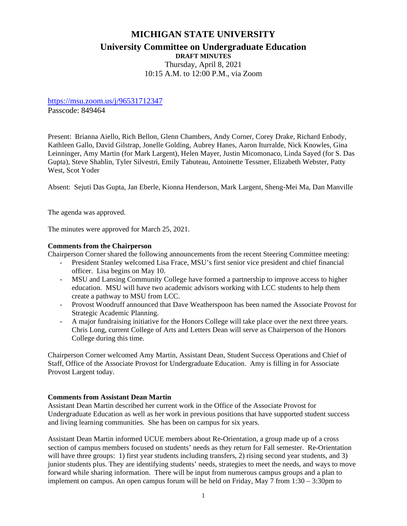# **MICHIGAN STATE UNIVERSITY University Committee on Undergraduate Education DRAFT MINUTES** Thursday, April 8, 2021 10:15 A.M. to 12:00 P.M., via Zoom

<https://msu.zoom.us/j/96531712347>

Passcode: 849464

Present: Brianna Aiello, Rich Bellon, Glenn Chambers, Andy Corner, Corey Drake, Richard Enbody, Kathleen Gallo, David Gilstrap, Jonelle Golding, Aubrey Hanes, Aaron Iturralde, Nick Knowles, Gina Leinninger, Amy Martin (for Mark Largent), Helen Mayer, Justin Micomonaco, Linda Sayed (for S. Das Gupta), Steve Shablin, Tyler Silvestri, Emily Tabuteau, Antoinette Tessmer, Elizabeth Webster, Patty West, Scot Yoder

Absent: Sejuti Das Gupta, Jan Eberle, Kionna Henderson, Mark Largent, Sheng-Mei Ma, Dan Manville

The agenda was approved.

The minutes were approved for March 25, 2021.

### **Comments from the Chairperson**

Chairperson Corner shared the following announcements from the recent Steering Committee meeting:

- President Stanley welcomed Lisa Frace, MSU's first senior vice president and chief financial officer. Lisa begins on May 10.
- MSU and Lansing Community College have formed a partnership to improve access to higher education. MSU will have two academic advisors working with LCC students to help them create a pathway to MSU from LCC.
- Provost Woodruff announced that Dave Weatherspoon has been named the Associate Provost for Strategic Academic Planning.
- A major fundraising initiative for the Honors College will take place over the next three years. Chris Long, current College of Arts and Letters Dean will serve as Chairperson of the Honors College during this time.

Chairperson Corner welcomed Amy Martin, Assistant Dean, Student Success Operations and Chief of Staff, Office of the Associate Provost for Undergraduate Education. Amy is filling in for Associate Provost Largent today.

### **Comments from Assistant Dean Martin**

Assistant Dean Martin described her current work in the Office of the Associate Provost for Undergraduate Education as well as her work in previous positions that have supported student success and living learning communities. She has been on campus for six years.

Assistant Dean Martin informed UCUE members about Re-Orientation, a group made up of a cross section of campus members focused on students' needs as they return for Fall semester. Re-Orientation will have three groups: 1) first year students including transfers, 2) rising second year students, and 3) junior students plus. They are identifying students' needs, strategies to meet the needs, and ways to move forward while sharing information. There will be input from numerous campus groups and a plan to implement on campus. An open campus forum will be held on Friday, May 7 from 1:30 – 3:30pm to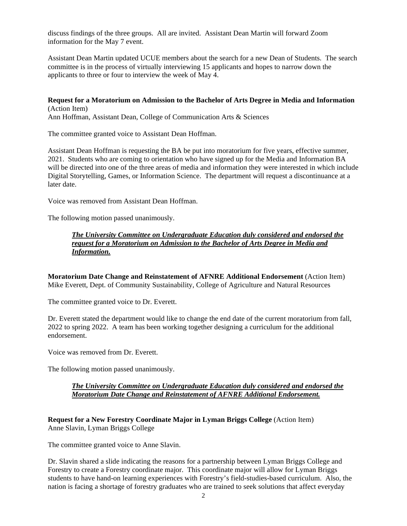discuss findings of the three groups. All are invited. Assistant Dean Martin will forward Zoom information for the May 7 event.

Assistant Dean Martin updated UCUE members about the search for a new Dean of Students. The search committee is in the process of virtually interviewing 15 applicants and hopes to narrow down the applicants to three or four to interview the week of May 4.

**Request for a Moratorium on Admission to the Bachelor of Arts Degree in Media and Information** (Action Item)

Ann Hoffman, Assistant Dean, College of Communication Arts & Sciences

The committee granted voice to Assistant Dean Hoffman.

Assistant Dean Hoffman is requesting the BA be put into moratorium for five years, effective summer, 2021. Students who are coming to orientation who have signed up for the Media and Information BA will be directed into one of the three areas of media and information they were interested in which include Digital Storytelling, Games, or Information Science. The department will request a discontinuance at a later date.

Voice was removed from Assistant Dean Hoffman.

The following motion passed unanimously.

*The University Committee on Undergraduate Education duly considered and endorsed the request for a Moratorium on Admission to the Bachelor of Arts Degree in Media and Information.*

**Moratorium Date Change and Reinstatement of AFNRE Additional Endorsement** (Action Item) Mike Everett, Dept. of Community Sustainability, College of Agriculture and Natural Resources

The committee granted voice to Dr. Everett.

Dr. Everett stated the department would like to change the end date of the current moratorium from fall, 2022 to spring 2022. A team has been working together designing a curriculum for the additional endorsement.

Voice was removed from Dr. Everett.

The following motion passed unanimously.

### *The University Committee on Undergraduate Education duly considered and endorsed the Moratorium Date Change and Reinstatement of AFNRE Additional Endorsement.*

**Request for a New Forestry Coordinate Major in Lyman Briggs College** (Action Item) Anne Slavin, Lyman Briggs College

The committee granted voice to Anne Slavin.

Dr. Slavin shared a slide indicating the reasons for a partnership between Lyman Briggs College and Forestry to create a Forestry coordinate major. This coordinate major will allow for Lyman Briggs students to have hand-on learning experiences with Forestry's field-studies-based curriculum. Also, the nation is facing a shortage of forestry graduates who are trained to seek solutions that affect everyday